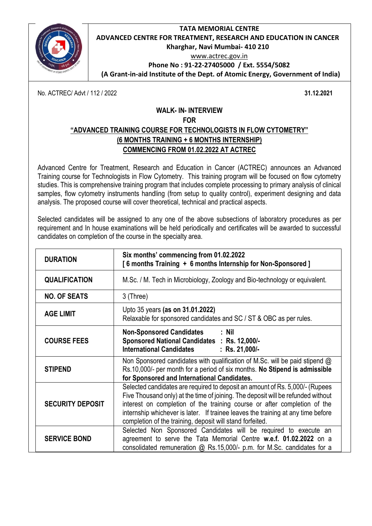

#### **TATA MEMORIAL CENTRE ADVANCED CENTRE FOR TREATMENT, RESEARCH AND EDUCATION IN CANCER Kharghar, Navi Mumbai- 410 210** [www.actrec.gov.in](http://www.actrec.gov.in/)

**Phone No : 91-22-27405000 / Ext. 5554/5082** 

**(A Grant-in-aid Institute of the Dept. of Atomic Energy, Government of India)**

No. ACTREC/ Advt / 112 / 2022 **31.12.2021**

#### **WALK- IN- INTERVIEW FOR**

# **"ADVANCED TRAINING COURSE FOR TECHNOLOGISTS IN FLOW CYTOMETRY" (6 MONTHS TRAINING + 6 MONTHS INTERNSHIP) COMMENCING FROM 01.02.2022 AT ACTREC**

Advanced Centre for Treatment, Research and Education in Cancer (ACTREC) announces an Advanced Training course for Technologists in Flow Cytometry. This training program will be focused on flow cytometry studies. This is comprehensive training program that includes complete processing to primary analysis of clinical samples, flow cytometry instruments handling (from setup to quality control), experiment designing and data analysis. The proposed course will cover theoretical, technical and practical aspects.

Selected candidates will be assigned to any one of the above subsections of laboratory procedures as per requirement and In house examinations will be held periodically and certificates will be awarded to successful candidates on completion of the course in the specialty area.

| <b>DURATION</b>         | Six months' commencing from 01.02.2022<br>[6 months Training + 6 months Internship for Non-Sponsored]                                                                                                                                                                                                                                                                                         |  |
|-------------------------|-----------------------------------------------------------------------------------------------------------------------------------------------------------------------------------------------------------------------------------------------------------------------------------------------------------------------------------------------------------------------------------------------|--|
| <b>QUALIFICATION</b>    | M.Sc. / M. Tech in Microbiology, Zoology and Bio-technology or equivalent.                                                                                                                                                                                                                                                                                                                    |  |
| <b>NO. OF SEATS</b>     | 3 (Three)                                                                                                                                                                                                                                                                                                                                                                                     |  |
| <b>AGE LIMIT</b>        | Upto 35 years (as on 31.01.2022)<br>Relaxable for sponsored candidates and SC / ST & OBC as per rules.                                                                                                                                                                                                                                                                                        |  |
| <b>COURSE FEES</b>      | Non-Sponsored Candidates : Nil<br>Sponsored National Candidates : Rs. 12,000/-<br><b>International Candidates</b><br>$:$ Rs. 21,000/-                                                                                                                                                                                                                                                         |  |
| <b>STIPEND</b>          | Non Sponsored candidates with qualification of M.Sc. will be paid stipend @<br>Rs.10,000/- per month for a period of six months. No Stipend is admissible<br>for Sponsored and International Candidates.                                                                                                                                                                                      |  |
| <b>SECURITY DEPOSIT</b> | Selected candidates are required to deposit an amount of Rs. 5,000/- (Rupees<br>Five Thousand only) at the time of joining. The deposit will be refunded without<br>interest on completion of the training course or after completion of the<br>internship whichever is later. If trainee leaves the training at any time before<br>completion of the training, deposit will stand forfeited. |  |
| <b>SERVICE BOND</b>     | Selected Non Sponsored Candidates will be required to execute an<br>agreement to serve the Tata Memorial Centre w.e.f. 01.02.2022 on a<br>consolidated remuneration @ Rs.15,000/- p.m. for M.Sc. candidates for a                                                                                                                                                                             |  |